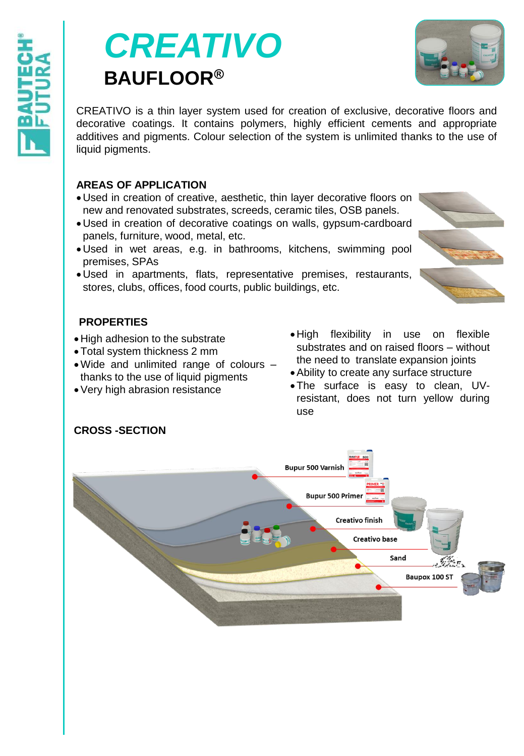# *CREATIVO* **BAUFLOOR®**



CREATIVO is a thin layer system used for creation of exclusive, decorative floors and decorative coatings. It contains polymers, highly efficient cements and appropriate additives and pigments. Colour selection of the system is unlimited thanks to the use of liquid pigments.

# **AREAS OF APPLICATION**

- Used in creation of creative, aesthetic, thin layer decorative floors on new and renovated substrates, screeds, ceramic tiles, OSB panels.
- Used in creation of decorative coatings on walls, gypsum-cardboard panels, furniture, wood, metal, etc.
- Used in wet areas, e.g. in bathrooms, kitchens, swimming pool premises, SPAs
- Used in apartments, flats, representative premises, restaurants, stores, clubs, offices, food courts, public buildings, etc.

# **PROPERTIES**

- High adhesion to the substrate
- Total system thickness 2 mm
- Wide and unlimited range of colours thanks to the use of liquid pigments
- Very high abrasion resistance
- High flexibility in use on flexible substrates and on raised floors – without the need to translate expansion joints
- Ability to create any surface structure
- The surface is easy to clean, UVresistant, does not turn yellow during use



# **CROSS -SECTION**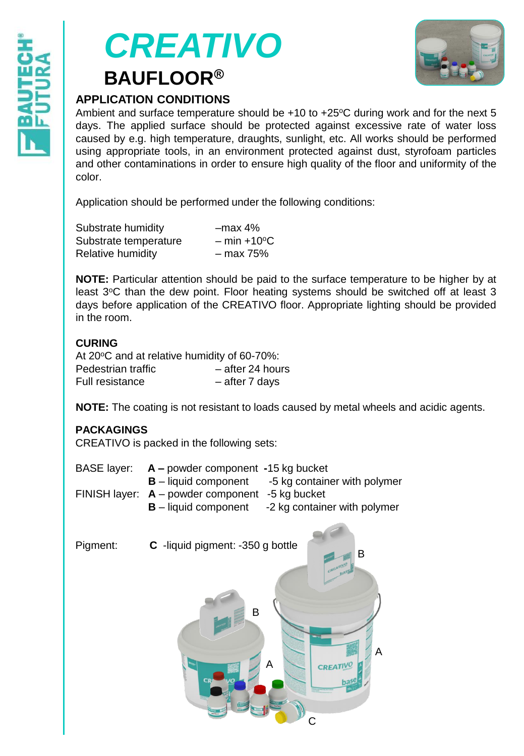



# **APPLICATION CONDITIONS**

Ambient and surface temperature should be  $+10$  to  $+25$ °C during work and for the next 5 days. The applied surface should be protected against excessive rate of water loss caused by e.g. high temperature, draughts, sunlight, etc. All works should be performed using appropriate tools, in an environment protected against dust, styrofoam particles and other contaminations in order to ensure high quality of the floor and uniformity of the color.

Application should be performed under the following conditions:

| Substrate humidity    | $-max$ 4%               |
|-----------------------|-------------------------|
| Substrate temperature | $-$ min $+10^{\circ}$ C |
| Relative humidity     | – max 75%               |

**NOTE:** Particular attention should be paid to the surface temperature to be higher by at least 3°C than the dew point. Floor heating systems should be switched off at least 3 days before application of the CREATIVO floor. Appropriate lighting should be provided in the room.

## **CURING**

| At 20°C and at relative humidity of 60-70%: |                  |
|---------------------------------------------|------------------|
| Pedestrian traffic                          | - after 24 hours |
| Full resistance                             | - after 7 days   |

**NOTE:** The coating is not resistant to loads caused by metal wheels and acidic agents.

C

#### **PACKAGINGS**

CREATIVO is packed in the following sets:

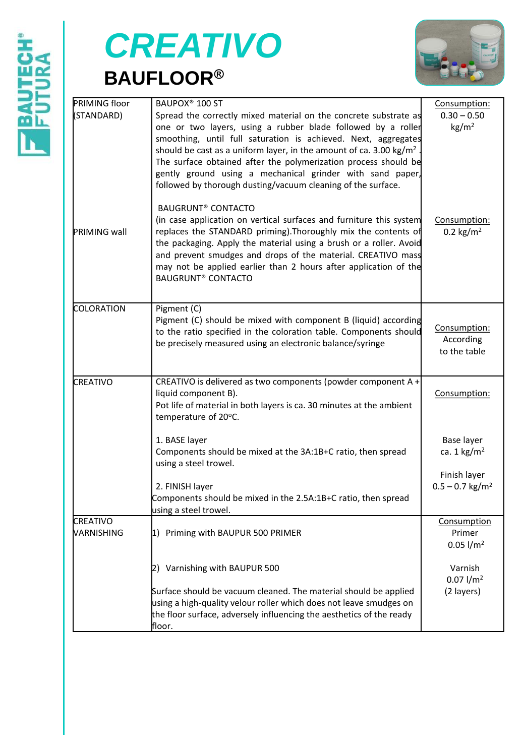

# *CREATIVO* **BAUFLOOR®**



| PRIMING floor          | BAUPOX <sup>®</sup> 100 ST                                                                                                                                                                                                                                                                                                                                                                                                                                                           | Consumption:                                  |  |
|------------------------|--------------------------------------------------------------------------------------------------------------------------------------------------------------------------------------------------------------------------------------------------------------------------------------------------------------------------------------------------------------------------------------------------------------------------------------------------------------------------------------|-----------------------------------------------|--|
| STANDARD)              | Spread the correctly mixed material on the concrete substrate as<br>one or two layers, using a rubber blade followed by a roller<br>smoothing, until full saturation is achieved. Next, aggregates<br>should be cast as a uniform layer, in the amount of ca. 3.00 kg/m <sup>2</sup><br>The surface obtained after the polymerization process should be<br>gently ground using a mechanical grinder with sand paper,<br>followed by thorough dusting/vacuum cleaning of the surface. | $0.30 - 0.50$<br>kg/m <sup>2</sup>            |  |
| PRIMING wall           | <b>BAUGRUNT® CONTACTO</b><br>(in case application on vertical surfaces and furniture this system<br>replaces the STANDARD priming). Thoroughly mix the contents of<br>the packaging. Apply the material using a brush or a roller. Avoid<br>and prevent smudges and drops of the material. CREATIVO mass<br>may not be applied earlier than 2 hours after application of the<br><b>BAUGRUNT® CONTACTO</b>                                                                            | Consumption:<br>$0.2 \text{ kg/m}^2$          |  |
| COLORATION             | Pigment (C)<br>Pigment (C) should be mixed with component B (liquid) according<br>to the ratio specified in the coloration table. Components should<br>be precisely measured using an electronic balance/syringe                                                                                                                                                                                                                                                                     | Consumption:<br>According<br>to the table     |  |
| CREATIVO               | CREATIVO is delivered as two components (powder component A +<br>liquid component B).<br>Pot life of material in both layers is ca. 30 minutes at the ambient<br>temperature of 20°C.                                                                                                                                                                                                                                                                                                | Consumption:                                  |  |
|                        | 1. BASE layer<br>Components should be mixed at the 3A:1B+C ratio, then spread<br>using a steel trowel.                                                                                                                                                                                                                                                                                                                                                                               | Base layer<br>ca. $1 \text{ kg/m}^2$          |  |
|                        | 2. FINISH layer<br>Components should be mixed in the 2.5A:1B+C ratio, then spread<br>using a steel trowel.                                                                                                                                                                                                                                                                                                                                                                           | Finish layer<br>$0.5 - 0.7$ kg/m <sup>2</sup> |  |
| CREATIVO<br>VARNISHING | 1) Priming with BAUPUR 500 PRIMER                                                                                                                                                                                                                                                                                                                                                                                                                                                    | Consumption<br>Primer<br>$0.05$ $1/m2$        |  |
|                        | 2) Varnishing with BAUPUR 500                                                                                                                                                                                                                                                                                                                                                                                                                                                        | Varnish<br>$0.07$ l/m <sup>2</sup>            |  |
|                        | Surface should be vacuum cleaned. The material should be applied<br>using a high-quality velour roller which does not leave smudges on<br>the floor surface, adversely influencing the aesthetics of the ready<br>floor.                                                                                                                                                                                                                                                             | (2 layers)                                    |  |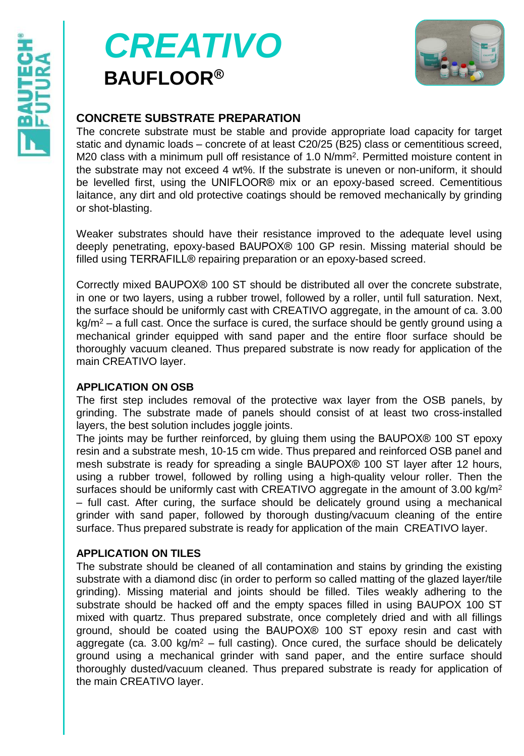# *CREATIVO* **BAUFLOOR®**



# **CONCRETE SUBSTRATE PREPARATION**

The concrete substrate must be stable and provide appropriate load capacity for target static and dynamic loads – concrete of at least C20/25 (B25) class or cementitious screed, M20 class with a minimum pull off resistance of 1.0 N/mm<sup>2</sup>. Permitted moisture content in the substrate may not exceed 4 wt%. If the substrate is uneven or non-uniform, it should be levelled first, using the UNIFLOOR® mix or an epoxy-based screed. Cementitious laitance, any dirt and old protective coatings should be removed mechanically by grinding or shot-blasting.

Weaker substrates should have their resistance improved to the adequate level using deeply penetrating, epoxy-based BAUPOX® 100 GP resin. Missing material should be filled using TERRAFILL® repairing preparation or an epoxy-based screed.

Correctly mixed BAUPOX® 100 ST should be distributed all over the concrete substrate, in one or two layers, using a rubber trowel, followed by a roller, until full saturation. Next, the surface should be uniformly cast with CREATIVO aggregate, in the amount of ca. 3.00  $kg/m^2$  – a full cast. Once the surface is cured, the surface should be gently ground using a mechanical grinder equipped with sand paper and the entire floor surface should be thoroughly vacuum cleaned. Thus prepared substrate is now ready for application of the main CREATIVO layer.

#### **APPLICATION ON OSB**

The first step includes removal of the protective wax layer from the OSB panels, by grinding. The substrate made of panels should consist of at least two cross-installed layers, the best solution includes joggle joints.

The joints may be further reinforced, by gluing them using the BAUPOX® 100 ST epoxy resin and a substrate mesh, 10-15 cm wide. Thus prepared and reinforced OSB panel and mesh substrate is ready for spreading a single BAUPOX® 100 ST layer after 12 hours, using a rubber trowel, followed by rolling using a high-quality velour roller. Then the surfaces should be uniformly cast with CREATIVO aggregate in the amount of 3.00 kg/m<sup>2</sup> – full cast. After curing, the surface should be delicately ground using a mechanical grinder with sand paper, followed by thorough dusting/vacuum cleaning of the entire surface. Thus prepared substrate is ready for application of the main CREATIVO layer.

## **APPLICATION ON TILES**

The substrate should be cleaned of all contamination and stains by grinding the existing substrate with a diamond disc (in order to perform so called matting of the glazed layer/tile grinding). Missing material and joints should be filled. Tiles weakly adhering to the substrate should be hacked off and the empty spaces filled in using BAUPOX 100 ST mixed with quartz. Thus prepared substrate, once completely dried and with all fillings ground, should be coated using the BAUPOX® 100 ST epoxy resin and cast with aggregate (ca. 3.00 kg/m<sup>2</sup> – full casting). Once cured, the surface should be delicately ground using a mechanical grinder with sand paper, and the entire surface should thoroughly dusted/vacuum cleaned. Thus prepared substrate is ready for application of the main CREATIVO layer.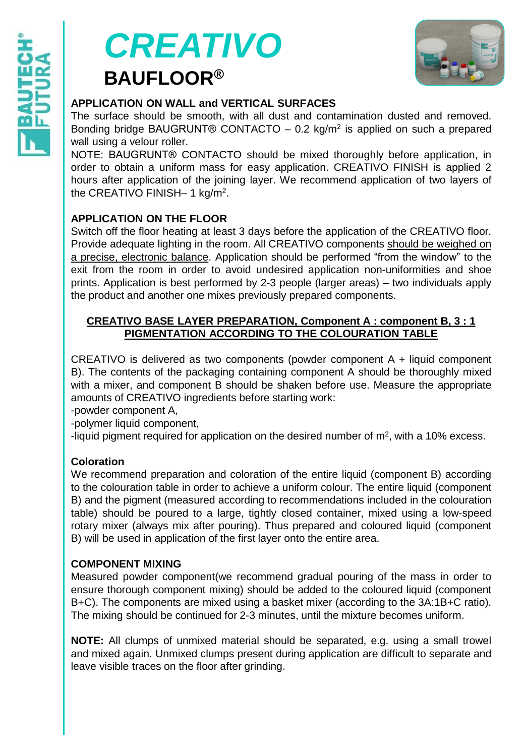



#### **APPLICATION ON WALL and VERTICAL SURFACES**

The surface should be smooth, with all dust and contamination dusted and removed. Bonding bridge BAUGRUNT® CONTACTO  $-$  0.2 kg/m<sup>2</sup> is applied on such a prepared wall using a velour roller.

NOTE: BAUGRUNT® CONTACTO should be mixed thoroughly before application, in order to obtain a uniform mass for easy application. CREATIVO FINISH is applied 2 hours after application of the joining layer. We recommend application of two layers of the CREATIVO FINISH- 1 kg/m<sup>2</sup>.

#### **APPLICATION ON THE FLOOR**

Switch off the floor heating at least 3 days before the application of the CREATIVO floor. Provide adequate lighting in the room. All CREATIVO components should be weighed on a precise, electronic balance. Application should be performed "from the window" to the exit from the room in order to avoid undesired application non-uniformities and shoe prints. Application is best performed by 2-3 people (larger areas) – two individuals apply the product and another one mixes previously prepared components.

#### **CREATIVO BASE LAYER PREPARATION, Component A : component B, 3 : 1 PIGMENTATION ACCORDING TO THE COLOURATION TABLE**

CREATIVO is delivered as two components (powder component A + liquid component B). The contents of the packaging containing component A should be thoroughly mixed with a mixer, and component B should be shaken before use. Measure the appropriate amounts of CREATIVO ingredients before starting work:

-powder component A,

-polymer liquid component,

-liquid pigment required for application on the desired number of  $m<sup>2</sup>$ , with a 10% excess.

#### **Coloration**

We recommend preparation and coloration of the entire liquid (component B) according to the colouration table in order to achieve a uniform colour. The entire liquid (component B) and the pigment (measured according to recommendations included in the colouration table) should be poured to a large, tightly closed container, mixed using a low-speed rotary mixer (always mix after pouring). Thus prepared and coloured liquid (component B) will be used in application of the first layer onto the entire area.

#### **COMPONENT MIXING**

Measured powder component(we recommend gradual pouring of the mass in order to ensure thorough component mixing) should be added to the coloured liquid (component B+C). The components are mixed using a basket mixer (according to the 3A:1B+C ratio). The mixing should be continued for 2-3 minutes, until the mixture becomes uniform.

**NOTE:** All clumps of unmixed material should be separated, e.g. using a small trowel and mixed again. Unmixed clumps present during application are difficult to separate and leave visible traces on the floor after grinding.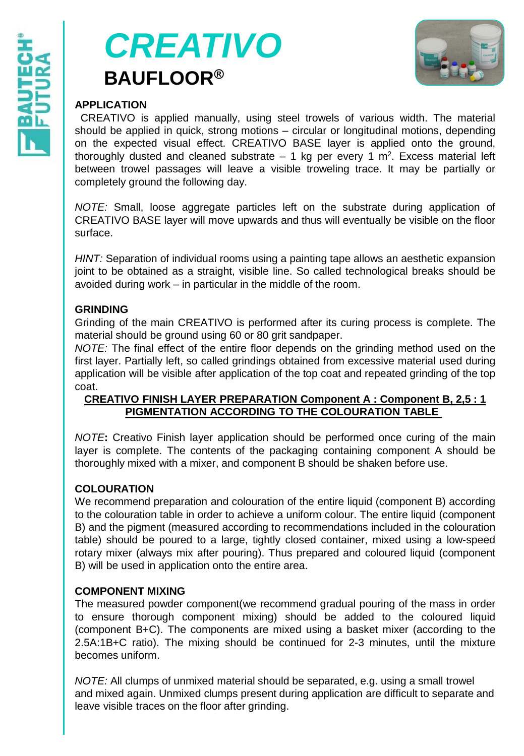



## **APPLICATION**

CREATIVO is applied manually, using steel trowels of various width. The material should be applied in quick, strong motions – circular or longitudinal motions, depending on the expected visual effect. CREATIVO BASE layer is applied onto the ground, thoroughly dusted and cleaned substrate  $-1$  kg per every 1 m<sup>2</sup>. Excess material left between trowel passages will leave a visible troweling trace. It may be partially or completely ground the following day.

*NOTE:* Small, loose aggregate particles left on the substrate during application of CREATIVO BASE layer will move upwards and thus will eventually be visible on the floor surface.

*HINT:* Separation of individual rooms using a painting tape allows an aesthetic expansion joint to be obtained as a straight, visible line. So called technological breaks should be avoided during work – in particular in the middle of the room.

#### **GRINDING**

Grinding of the main CREATIVO is performed after its curing process is complete. The material should be ground using 60 or 80 grit sandpaper.

*NOTE:* The final effect of the entire floor depends on the grinding method used on the first layer. Partially left, so called grindings obtained from excessive material used during application will be visible after application of the top coat and repeated grinding of the top coat.

#### **CREATIVO FINISH LAYER PREPARATION Component A : Component B, 2,5 : 1 PIGMENTATION ACCORDING TO THE COLOURATION TABLE**

*NOTE***:** Creativo Finish layer application should be performed once curing of the main layer is complete. The contents of the packaging containing component A should be thoroughly mixed with a mixer, and component B should be shaken before use.

#### **COLOURATION**

We recommend preparation and colouration of the entire liquid (component B) according to the colouration table in order to achieve a uniform colour. The entire liquid (component B) and the pigment (measured according to recommendations included in the colouration table) should be poured to a large, tightly closed container, mixed using a low-speed rotary mixer (always mix after pouring). Thus prepared and coloured liquid (component B) will be used in application onto the entire area.

## **COMPONENT MIXING**

The measured powder component(we recommend gradual pouring of the mass in order to ensure thorough component mixing) should be added to the coloured liquid (component B+C). The components are mixed using a basket mixer (according to the 2.5A:1B+C ratio). The mixing should be continued for 2-3 minutes, until the mixture becomes uniform.

*NOTE:* All clumps of unmixed material should be separated, e.g. using a small trowel and mixed again. Unmixed clumps present during application are difficult to separate and leave visible traces on the floor after grinding.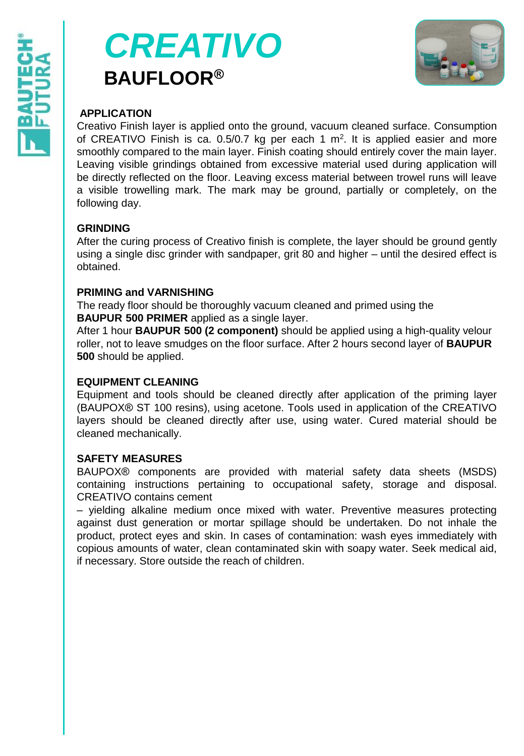



#### **APPLICATION**

Creativo Finish layer is applied onto the ground, vacuum cleaned surface. Consumption of CREATIVO Finish is ca.  $0.5/0.7$  kg per each 1 m<sup>2</sup>. It is applied easier and more smoothly compared to the main layer. Finish coating should entirely cover the main layer. Leaving visible grindings obtained from excessive material used during application will be directly reflected on the floor. Leaving excess material between trowel runs will leave a visible trowelling mark. The mark may be ground, partially or completely, on the following day.

#### **GRINDING**

After the curing process of Creativo finish is complete, the layer should be ground gently using a single disc grinder with sandpaper, grit 80 and higher – until the desired effect is obtained.

#### **PRIMING and VARNISHING**

The ready floor should be thoroughly vacuum cleaned and primed using the **BAUPUR 500 PRIMER** applied as a single layer.

After 1 hour **BAUPUR 500 (2 component)** should be applied using a high-quality velour roller, not to leave smudges on the floor surface. After 2 hours second layer of **BAUPUR 500** should be applied.

#### **EQUIPMENT CLEANING**

Equipment and tools should be cleaned directly after application of the priming layer (BAUPOX® ST 100 resins), using acetone. Tools used in application of the CREATIVO layers should be cleaned directly after use, using water. Cured material should be cleaned mechanically.

#### **SAFETY MEASURES**

BAUPOX® components are provided with material safety data sheets (MSDS) containing instructions pertaining to occupational safety, storage and disposal. CREATIVO contains cement

– yielding alkaline medium once mixed with water. Preventive measures protecting against dust generation or mortar spillage should be undertaken. Do not inhale the product, protect eyes and skin. In cases of contamination: wash eyes immediately with copious amounts of water, clean contaminated skin with soapy water. Seek medical aid, if necessary. Store outside the reach of children.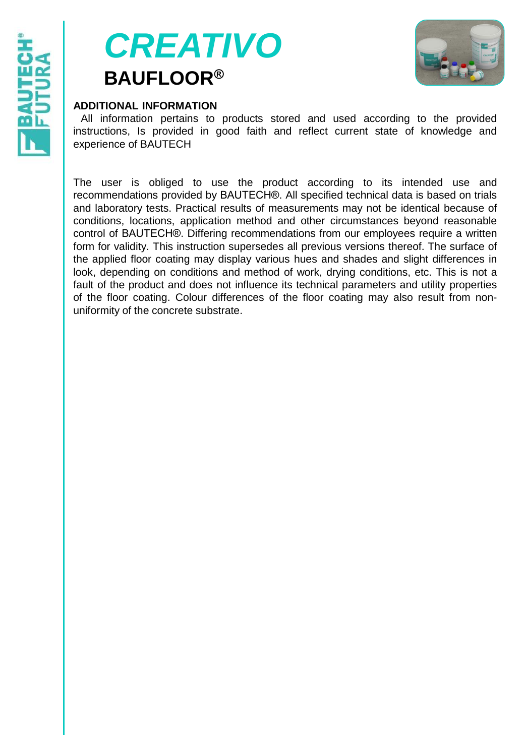



#### **ADDITIONAL INFORMATION**

All information pertains to products stored and used according to the provided instructions, Is provided in good faith and reflect current state of knowledge and experience of BAUTECH

The user is obliged to use the product according to its intended use and recommendations provided by BAUTECH®. All specified technical data is based on trials and laboratory tests. Practical results of measurements may not be identical because of conditions, locations, application method and other circumstances beyond reasonable control of BAUTECH®. Differing recommendations from our employees require a written form for validity. This instruction supersedes all previous versions thereof. The surface of the applied floor coating may display various hues and shades and slight differences in look, depending on conditions and method of work, drying conditions, etc. This is not a fault of the product and does not influence its technical parameters and utility properties of the floor coating. Colour differences of the floor coating may also result from nonuniformity of the concrete substrate.